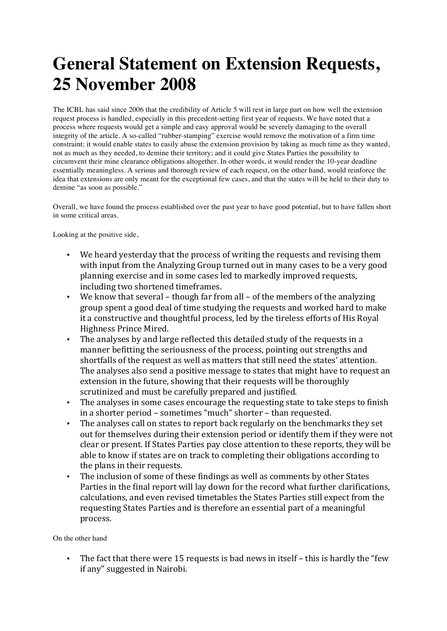## **General Statement on Extension Requests, 25 November 2008**

The ICBL has said since 2006 that the credibility of Article 5 will rest in large part on how well the extension request process is handled, especially in this precedent-setting first year of requests. We have noted that a process where requests would get a simple and easy approval would be severely damaging to the overall integrity of the article. A so-called "rubber-stamping" exercise would remove the motivation of a firm time constraint; it would enable states to easily abuse the extension provision by taking as much time as they wanted, not as much as they needed, to demine their territory; and it could give States Parties the possibility to circumvent their mine clearance obligations altogether. In other words, it would render the 10-year deadline essentially meaningless. A serious and thorough review of each request, on the other hand, would reinforce the idea that extensions are only meant for the exceptional few cases, and that the states will be held to their duty to demine "as soon as possible."

Overall, we have found the process established over the past year to have good potential, but to have fallen short in some critical areas.

Looking at the positive side,

- We heard yesterday that the process of writing the requests and revising them with input from the Analyzing Group turned out in many cases to be a very good planning exercise and in some cases led to markedly improved requests, including two shortened timeframes.
- We know that several though far from all of the members of the analyzing group spent a good deal of time studying the requests and worked hard to make it a constructive and thoughtful process, led by the tireless efforts of His Royal Highness Prince Mired.
- The analyses by and large reflected this detailed study of the requests in a manner befitting the seriousness of the process, pointing out strengths and shortfalls of the request as well as matters that still need the states' attention. The analyses also send a positive message to states that might have to request an extension in the future, showing that their requests will be thoroughly scrutinized and must be carefully prepared and justified.
- The analyses in some cases encourage the requesting state to take steps to finish in a shorter period – sometimes "much" shorter – than requested.
- The analyses call on states to report back regularly on the benchmarks they set out for themselves during their extension period or identify them if they were not clear or present. If States Parties pay close attention to these reports, they will be able to know if states are on track to completing their obligations according to the plans in their requests.
- The inclusion of some of these findings as well as comments by other States Parties in the final report will lay down for the record what further clarifications, calculations, and even revised timetables the States Parties still expect from the requesting States Parties and is therefore an essential part of a meaningful process.

On the other hand

• The fact that there were 15 requests is bad news in itself – this is hardly the "few if any" suggested in Nairobi.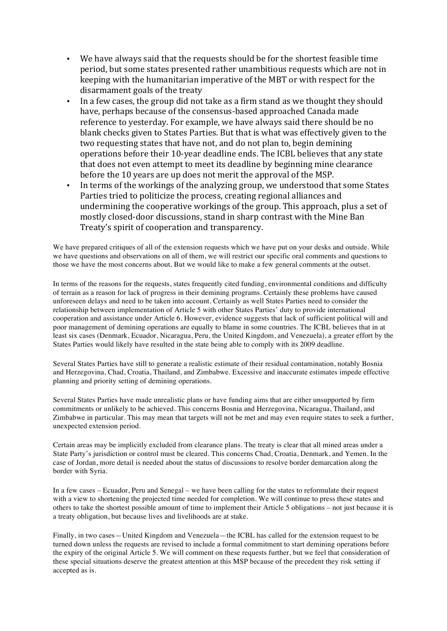- We have always said that the requests should be for the shortest feasible time period, but some states presented rather unambitious requests which are not in keeping with the humanitarian imperative of the MBT or with respect for the disarmament goals of the treaty
- In a few cases, the group did not take as a firm stand as we thought they should have, perhaps because of the consensus-based approached Canada made reference to vesterday. For example, we have always said there should be no blank checks given to States Parties. But that is what was effectively given to the two requesting states that have not, and do not plan to, begin demining operations before their 10-year deadline ends. The ICBL believes that any state that does not even attempt to meet its deadline by beginning mine clearance before the 10 years are up does not merit the approval of the MSP.
- In terms of the workings of the analyzing group, we understood that some States Parties tried to politicize the process, creating regional alliances and undermining the cooperative workings of the group. This approach, plus a set of mostly closed-door discussions, stand in sharp contrast with the Mine Ban Treaty's spirit of cooperation and transparency.

We have prepared critiques of all of the extension requests which we have put on your desks and outside. While we have questions and observations on all of them, we will restrict our specific oral comments and questions to those we have the most concerns about. But we would like to make a few general comments at the outset.

In terms of the reasons for the requests, states frequently cited funding, environmental conditions and difficulty of terrain as a reason for lack of progress in their demining programs. Certainly these problems have caused unforeseen delays and need to be taken into account. Certainly as well States Parties need to consider the relationship between implementation of Article 5 with other States Parties' duty to provide international cooperation and assistance under Article 6. However, evidence suggests that lack of sufficient political will and poor management of demining operations are equally to blame in some countries. The ICBL believes that in at least six cases (Denmark, Ecuador, Nicaragua, Peru, the United Kingdom, and Venezuela), a greater effort by the States Parties would likely have resulted in the state being able to comply with its 2009 deadline.

Several States Parties have still to generate a realistic estimate of their residual contamination, notably Bosnia and Herzegovina, Chad, Croatia, Thailand, and Zimbabwe. Excessive and inaccurate estimates impede effective planning and priority setting of demining operations.

Several States Parties have made unrealistic plans or have funding aims that are either unsupported by firm commitments or unlikely to be achieved. This concerns Bosnia and Herzegovina, Nicaragua, Thailand, and Zimbabwe in particular. This may mean that targets will not be met and may even require states to seek a further, unexpected extension period.

Certain areas may be implicitly excluded from clearance plans. The treaty is clear that all mined areas under a State Party's jurisdiction or control must be cleared. This concerns Chad, Croatia, Denmark, and Yemen. In the case of Jordan, more detail is needed about the status of discussions to resolve border demarcation along the border with Syria.

In a few cases – Ecuador, Peru and Senegal – we have been calling for the states to reformulate their request with a view to shortening the projected time needed for completion. We will continue to press these states and others to take the shortest possible amount of time to implement their Article 5 obligations – not just because it is a treaty obligation, but because lives and livelihoods are at stake.

Finally, in two cases—United Kingdom and Venezuela—the ICBL has called for the extension request to be turned down unless the requests are revised to include a formal commitment to start demining operations before the expiry of the original Article 5. We will comment on these requests further, but we feel that consideration of these special situations deserve the greatest attention at this MSP because of the precedent they risk setting if accepted as is.